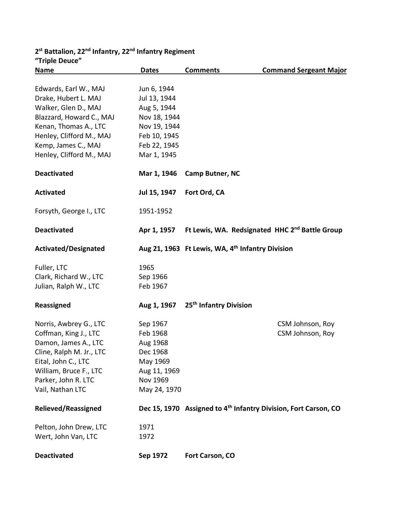| <b>Triple Deuce</b>        |              |                                                  |                                                                             |
|----------------------------|--------------|--------------------------------------------------|-----------------------------------------------------------------------------|
| <b>Name</b>                | <b>Dates</b> | <b>Comments</b>                                  | <b>Command Sergeant Major</b>                                               |
| Edwards, Earl W., MAJ      | Jun 6, 1944  |                                                  |                                                                             |
| Drake, Hubert L. MAJ       | Jul 13, 1944 |                                                  |                                                                             |
| Walker, Glen D., MAJ       | Aug 5, 1944  |                                                  |                                                                             |
| Blazzard, Howard C., MAJ   | Nov 18, 1944 |                                                  |                                                                             |
| Kenan, Thomas A., LTC      | Nov 19, 1944 |                                                  |                                                                             |
| Henley, Clifford M., MAJ   | Feb 10, 1945 |                                                  |                                                                             |
| Kemp, James C., MAJ        | Feb 22, 1945 |                                                  |                                                                             |
| Henley, Clifford M., MAJ   | Mar 1, 1945  |                                                  |                                                                             |
| <b>Deactivated</b>         | Mar 1, 1946  | Camp Butner, NC                                  |                                                                             |
| <b>Activated</b>           | Jul 15, 1947 | Fort Ord, CA                                     |                                                                             |
| Forsyth, George I., LTC    | 1951-1952    |                                                  |                                                                             |
| <b>Deactivated</b>         | Apr 1, 1957  |                                                  | Ft Lewis, WA. Redsignated HHC 2 <sup>nd</sup> Battle Group                  |
| Activated/Designated       |              | Aug 21, 1963 Ft Lewis, WA, 4th Infantry Division |                                                                             |
| Fuller, LTC                | 1965         |                                                  |                                                                             |
| Clark, Richard W., LTC     | Sep 1966     |                                                  |                                                                             |
| Julian, Ralph W., LTC      | Feb 1967     |                                                  |                                                                             |
| Reassigned                 | Aug 1, 1967  | 25 <sup>th</sup> Infantry Division               |                                                                             |
| Norris, Awbrey G., LTC     | Sep 1967     |                                                  | CSM Johnson, Roy                                                            |
| Coffman, King J., LTC      | Feb 1968     |                                                  | CSM Johnson, Roy                                                            |
| Damon, James A., LTC       | Aug 1968     |                                                  |                                                                             |
| Cline, Ralph M. Jr., LTC   | Dec 1968     |                                                  |                                                                             |
| Eital, John C., LTC        | May 1969     |                                                  |                                                                             |
| William, Bruce F., LTC     | Aug 11, 1969 |                                                  |                                                                             |
| Parker, John R. LTC        | Nov 1969     |                                                  |                                                                             |
| Vail, Nathan LTC           | May 24, 1970 |                                                  |                                                                             |
| <b>Relieved/Reassigned</b> |              |                                                  | Dec 15, 1970 Assigned to 4 <sup>th</sup> Infantry Division, Fort Carson, CO |
| Pelton, John Drew, LTC     | 1971         |                                                  |                                                                             |
| Wert, John Van, LTC        | 1972         |                                                  |                                                                             |
| <b>Deactivated</b>         | Sep 1972     | Fort Carson, CO                                  |                                                                             |

## **2st Battalion, 22nd Infantry, 22nd Infantry Regiment "Triple Deuce"**